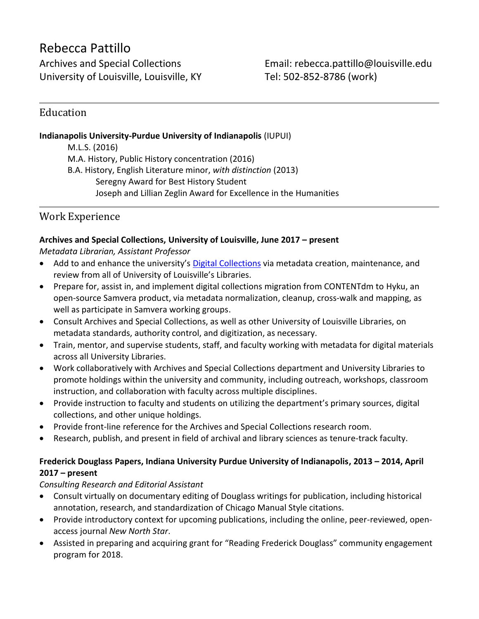# Rebecca Pattillo

University of Louisville, Louisville, KY Tel: 502-852-8786 (work)

Archives and Special Collections **Email:** rebecca.pattillo@louisville.edu

## Education

#### **Indianapolis University-Purdue University of Indianapolis** (IUPUI)

M.L.S. (2016) M.A. History, Public History concentration (2016) B.A. History, English Literature minor, *with distinction* (2013) Seregny Award for Best History Student Joseph and Lillian Zeglin Award for Excellence in the Humanities

# Work Experience

#### **Archives and Special Collections, University of Louisville, June 2017 – present**

*Metadata Librarian, Assistant Professor*

- Add to and enhance the university's [Digital Collections](http://digital.library.louisville.edu/) via metadata creation, maintenance, and review from all of University of Louisville's Libraries.
- Prepare for, assist in, and implement digital collections migration from CONTENTdm to Hyku, an open-source Samvera product, via metadata normalization, cleanup, cross-walk and mapping, as well as participate in Samvera working groups.
- Consult Archives and Special Collections, as well as other University of Louisville Libraries, on metadata standards, authority control, and digitization, as necessary.
- Train, mentor, and supervise students, staff, and faculty working with metadata for digital materials across all University Libraries.
- Work collaboratively with Archives and Special Collections department and University Libraries to promote holdings within the university and community, including outreach, workshops, classroom instruction, and collaboration with faculty across multiple disciplines.
- Provide instruction to faculty and students on utilizing the department's primary sources, digital collections, and other unique holdings.
- Provide front-line reference for the Archives and Special Collections research room.
- Research, publish, and present in field of archival and library sciences as tenure-track faculty.

## **Frederick Douglass Papers, Indiana University Purdue University of Indianapolis, 2013 – 2014, April 2017 – present**

## *Consulting Research and Editorial Assistant*

- Consult virtually on documentary editing of Douglass writings for publication, including historical annotation, research, and standardization of Chicago Manual Style citations.
- Provide introductory context for upcoming publications, including the online, peer-reviewed, openaccess journal *New North Star*.
- Assisted in preparing and acquiring grant for "Reading Frederick Douglass" community engagement program for 2018.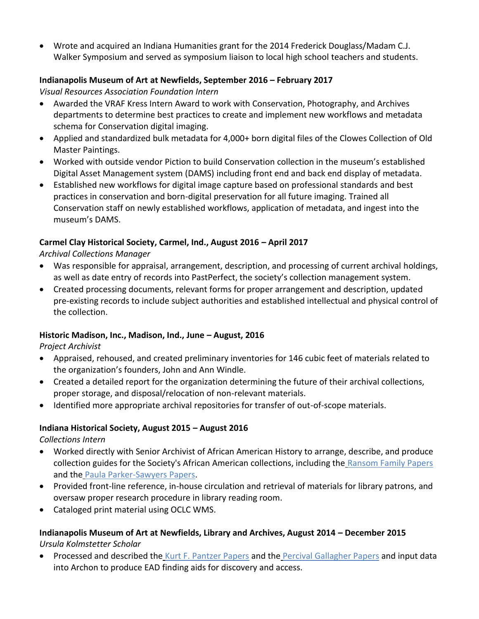• Wrote and acquired an Indiana Humanities grant for the 2014 Frederick Douglass/Madam C.J. Walker Symposium and served as symposium liaison to local high school teachers and students.

#### **Indianapolis Museum of Art at Newfields, September 2016 – February 2017**

*Visual Resources Association Foundation Intern*

- Awarded the VRAF Kress Intern Award to work with Conservation, Photography, and Archives departments to determine best practices to create and implement new workflows and metadata schema for Conservation digital imaging.
- Applied and standardized bulk metadata for 4,000+ born digital files of the Clowes Collection of Old Master Paintings.
- Worked with outside vendor Piction to build Conservation collection in the museum's established Digital Asset Management system (DAMS) including front end and back end display of metadata.
- Established new workflows for digital image capture based on professional standards and best practices in conservation and born-digital preservation for all future imaging. Trained all Conservation staff on newly established workflows, application of metadata, and ingest into the museum's DAMS.

## **Carmel Clay Historical Society, Carmel, Ind., August 2016 – April 2017**

*Archival Collections Manager*

- Was responsible for appraisal, arrangement, description, and processing of current archival holdings, as well as date entry of records into PastPerfect, the society's collection management system.
- Created processing documents, relevant forms for proper arrangement and description, updated pre-existing records to include subject authorities and established intellectual and physical control of the collection.

## **Historic Madison, Inc., Madison, Ind., June – August, 2016**

*Project Archivist*

- Appraised, rehoused, and created preliminary inventories for 146 cubic feet of materials related to the organization's founders, John and Ann Windle.
- Created a detailed report for the organization determining the future of their archival collections, proper storage, and disposal/relocation of non-relevant materials.
- Identified more appropriate archival repositories for transfer of out-of-scope materials.

## **Indiana Historical Society, August 2015 – August 2016**

*Collections Intern*

- Worked directly with Senior Archivist of African American History to arrange, describe, and produce collection guides for the Society's African American collections, including the [Ransom Family Papers](http://www.indianahistory.org/our-collections/collection-guides/ransom-family-papers.pdf) and the [Paula Parker-Sawyers Papers.](http://www.indianahistory.org/our-collections/collection-guides/paula-parker-sawyers-papers.pdf)
- Provided front-line reference, in-house circulation and retrieval of materials for library patrons, and oversaw proper research procedure in library reading room.
- Cataloged print material using OCLC WMS.

## **Indianapolis Museum of Art at Newfields, Library and Archives, August 2014 – December 2015** *Ursula Kolmstetter Scholar*

• Processed and described the [Kurt F. Pantzer Papers](https://discovernewfields.org/application/files/9815/0829/3391/archives-M007.pdf) and the [Percival Gallagher Papers](https://discovernewfields.org/application/files/8515/0829/3389/archives-M006.pdf) and input data into Archon to produce EAD finding aids for discovery and access.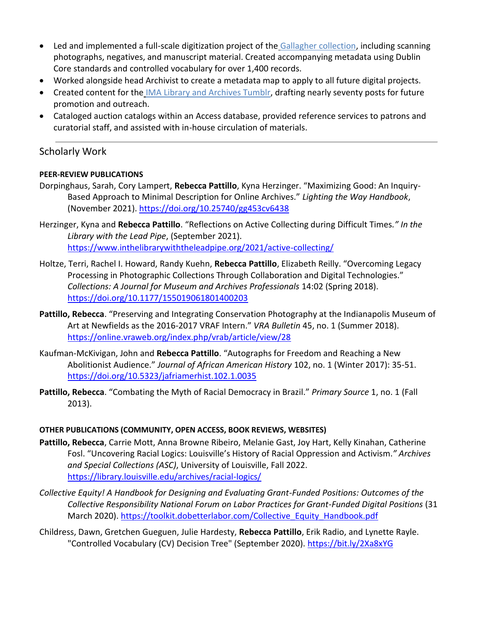- Led and implemented a full-scale digitization project of the [Gallagher collection,](http://archive.imamuseum.org/results.html?query=gallagher) including scanning photographs, negatives, and manuscript material. Created accompanying metadata using Dublin Core standards and controlled vocabulary for over 1,400 records.
- Worked alongside head Archivist to create a metadata map to apply to all future digital projects.
- Created content for the [IMA Library and Archives Tumblr,](http://libraryarchives-imamuseum.tumblr.com/) drafting nearly seventy posts for future promotion and outreach.
- Cataloged auction catalogs within an Access database, provided reference services to patrons and curatorial staff, and assisted with in-house circulation of materials.

## Scholarly Work

#### **PEER-REVIEW PUBLICATIONS**

- Dorpinghaus, Sarah, Cory Lampert, **Rebecca Pattillo**, Kyna Herzinger. "Maximizing Good: An Inquiry-Based Approach to Minimal Description for Online Archives." *Lighting the Way Handbook*, (November 2021). <https://doi.org/10.25740/gg453cv6438>
- Herzinger, Kyna and **Rebecca Pattillo**. "Reflections on Active Collecting during Difficult Times*." In the Library with the Lead Pipe*, (September 2021). <https://www.inthelibrarywiththeleadpipe.org/2021/active-collecting/>
- Holtze, Terri, Rachel I. Howard, Randy Kuehn, **Rebecca Pattillo**, Elizabeth Reilly. "Overcoming Legacy Processing in Photographic Collections Through Collaboration and Digital Technologies." *Collections: A Journal for Museum and Archives Professionals* 14:02 (Spring 2018). <https://doi.org/10.1177/155019061801400203>
- **Pattillo, Rebecca**. "Preserving and Integrating Conservation Photography at the Indianapolis Museum of Art at Newfields as the 2016-2017 VRAF Intern." *VRA Bulletin* 45, no. 1 (Summer 2018). <https://online.vraweb.org/index.php/vrab/article/view/28>
- Kaufman-McKivigan, John and **Rebecca Pattillo**. "Autographs for Freedom and Reaching a New Abolitionist Audience." *Journal of African American History* 102, no. 1 (Winter 2017): 35-51. <https://doi.org/10.5323/jafriamerhist.102.1.0035>
- **Pattillo, Rebecca**. "Combating the Myth of Racial Democracy in Brazil." *Primary Source* 1, no. 1 (Fall 2013).

#### **OTHER PUBLICATIONS (COMMUNITY, OPEN ACCESS, BOOK REVIEWS, WEBSITES)**

- **Pattillo, Rebecca**, Carrie Mott, Anna Browne Ribeiro, Melanie Gast, Joy Hart, Kelly Kinahan, Catherine Fosl. "Uncovering Racial Logics: Louisville's History of Racial Oppression and Activism.*" Archives and Special Collections (ASC)*, University of Louisville, Fall 2022. <https://library.louisville.edu/archives/racial-logics/>
- *Collective Equity! A Handbook for Designing and Evaluating Grant-Funded Positions: Outcomes of the Collective Responsibility National Forum on Labor Practices for Grant-Funded Digital Positions* (31 March 2020). [https://toolkit.dobetterlabor.com/Collective\\_Equity\\_Handbook.pdf](https://toolkit.dobetterlabor.com/Collective_Equity_Handbook.pdf)
- Childress, Dawn, Gretchen Gueguen, Julie Hardesty, **Rebecca Pattillo**, Erik Radio, and Lynette Rayle. "Controlled Vocabulary (CV) Decision Tree" (September 2020).<https://bit.ly/2Xa8xYG>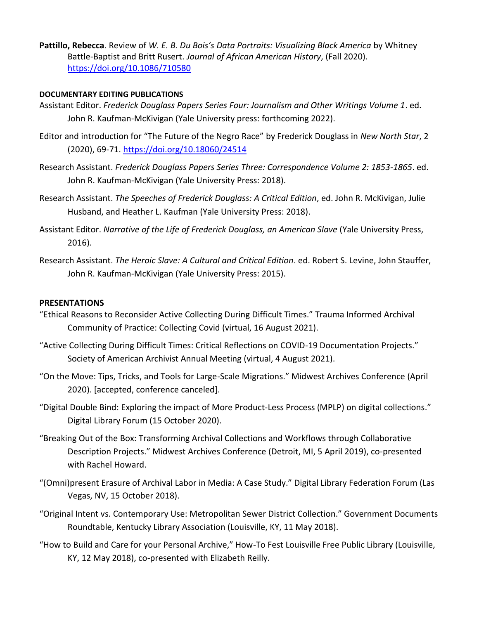**Pattillo, Rebecca**. Review of *W. E. B. Du Bois's Data Portraits: Visualizing Black America* by Whitney Battle-Baptist and Britt Rusert. *Journal of African American History*, (Fall 2020). <https://doi.org/10.1086/710580>

#### **DOCUMENTARY EDITING PUBLICATIONS**

- Assistant Editor. *Frederick Douglass Papers Series Four: Journalism and Other Writings Volume 1*. ed. John R. Kaufman-McKivigan (Yale University press: forthcoming 2022).
- Editor and introduction for "The Future of the Negro Race" by Frederick Douglass in *New North Star*, 2 (2020), 69-71.<https://doi.org/10.18060/24514>
- Research Assistant. *Frederick Douglass Papers Series Three: Correspondence Volume 2: 1853-1865*. ed. John R. Kaufman-McKivigan (Yale University Press: 2018).
- Research Assistant. *The Speeches of Frederick Douglass: A Critical Edition*, ed. John R. McKivigan, Julie Husband, and Heather L. Kaufman (Yale University Press: 2018).
- Assistant Editor. *Narrative of the Life of Frederick Douglass, an American Slave* (Yale University Press, 2016).
- Research Assistant. *The Heroic Slave: A Cultural and Critical Edition*. ed. Robert S. Levine, John Stauffer, John R. Kaufman-McKivigan (Yale University Press: 2015).

#### **PRESENTATIONS**

- "Ethical Reasons to Reconsider Active Collecting During Difficult Times." Trauma Informed Archival Community of Practice: Collecting Covid (virtual, 16 August 2021).
- "Active Collecting During Difficult Times: Critical Reflections on COVID-19 Documentation Projects." Society of American Archivist Annual Meeting (virtual, 4 August 2021).
- "On the Move: Tips, Tricks, and Tools for Large-Scale Migrations." Midwest Archives Conference (April 2020). [accepted, conference canceled].
- "Digital Double Bind: Exploring the impact of More Product-Less Process (MPLP) on digital collections." Digital Library Forum (15 October 2020).
- "Breaking Out of the Box: Transforming Archival Collections and Workflows through Collaborative Description Projects." Midwest Archives Conference (Detroit, MI, 5 April 2019), co-presented with Rachel Howard.
- "(Omni)present Erasure of Archival Labor in Media: A Case Study." Digital Library Federation Forum (Las Vegas, NV, 15 October 2018).
- "Original Intent vs. Contemporary Use: Metropolitan Sewer District Collection." Government Documents Roundtable, Kentucky Library Association (Louisville, KY, 11 May 2018).
- "How to Build and Care for your Personal Archive," How-To Fest Louisville Free Public Library (Louisville, KY, 12 May 2018), co-presented with Elizabeth Reilly.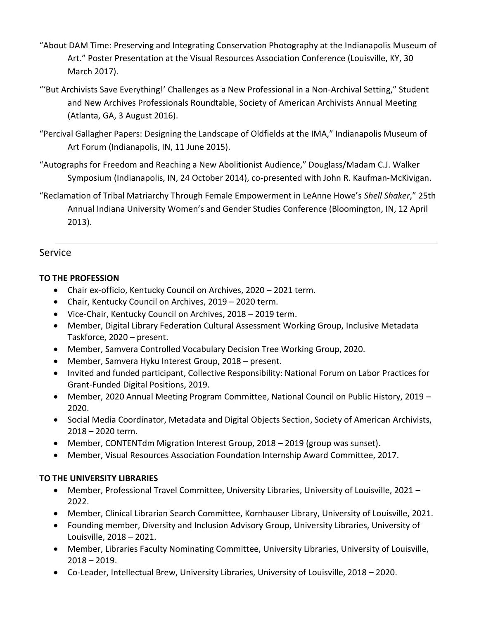- "About DAM Time: Preserving and Integrating Conservation Photography at the Indianapolis Museum of Art." Poster Presentation at the Visual Resources Association Conference (Louisville, KY, 30 March 2017).
- "'But Archivists Save Everything!' Challenges as a New Professional in a Non-Archival Setting," Student and New Archives Professionals Roundtable, Society of American Archivists Annual Meeting (Atlanta, GA, 3 August 2016).
- "Percival Gallagher Papers: Designing the Landscape of Oldfields at the IMA," Indianapolis Museum of Art Forum (Indianapolis, IN, 11 June 2015).
- "Autographs for Freedom and Reaching a New Abolitionist Audience," Douglass/Madam C.J. Walker Symposium (Indianapolis, IN, 24 October 2014), co-presented with John R. Kaufman-McKivigan.

"Reclamation of Tribal Matriarchy Through Female Empowerment in LeAnne Howe's *Shell Shaker*," 25th Annual Indiana University Women's and Gender Studies Conference (Bloomington, IN, 12 April 2013).

## **Service**

#### **TO THE PROFESSION**

- Chair ex-officio, Kentucky Council on Archives, 2020 2021 term.
- Chair, Kentucky Council on Archives, 2019 2020 term.
- Vice-Chair, Kentucky Council on Archives, 2018 2019 term.
- Member, Digital Library Federation Cultural Assessment Working Group, Inclusive Metadata Taskforce, 2020 – present.
- Member, Samvera Controlled Vocabulary Decision Tree Working Group, 2020.
- Member, Samvera Hyku Interest Group, 2018 present.
- Invited and funded participant, Collective Responsibility: National Forum on Labor Practices for Grant-Funded Digital Positions, 2019.
- Member, 2020 Annual Meeting Program Committee, National Council on Public History, 2019 2020.
- Social Media Coordinator, Metadata and Digital Objects Section, Society of American Archivists, 2018 – 2020 term.
- Member, CONTENTdm Migration Interest Group, 2018 2019 (group was sunset).
- Member, Visual Resources Association Foundation Internship Award Committee, 2017.

#### **TO THE UNIVERSITY LIBRARIES**

- Member, Professional Travel Committee, University Libraries, University of Louisville, 2021 2022.
- Member, Clinical Librarian Search Committee, Kornhauser Library, University of Louisville, 2021.
- Founding member, Diversity and Inclusion Advisory Group, University Libraries, University of Louisville, 2018 – 2021.
- Member, Libraries Faculty Nominating Committee, University Libraries, University of Louisville, 2018 – 2019.
- Co-Leader, Intellectual Brew, University Libraries, University of Louisville, 2018 2020.